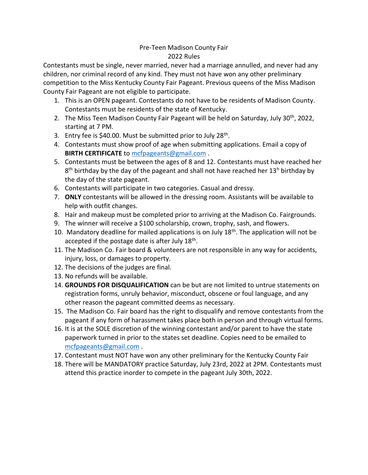## Pre-Teen Madison County Fair 2022 Rules

Contestants must be single, never married, never had a marriage annulled, and never had any children, nor criminal record of any kind. They must not have won any other preliminary competition to the Miss Kentucky County Fair Pageant. Previous queens of the Miss Madison County Fair Pageant are not eligible to participate.

- 1. This is an OPEN pageant. Contestants do not have to be residents of Madison County. Contestants must be residents of the state of Kentucky.
- 2. The Miss Teen Madison County Fair Pageant will be held on Saturday, July 30<sup>th</sup>, 2022, starting at 7 PM.
- 3. Entry fee is \$40.00. Must be submitted prior to July 28<sup>th</sup>.
- 4. Contestants must show proof of age when submitting applications. Email a copy of **BIRTH CERTIFICATE** to [mcfpageants@gmail.com](mailto:mcfpageants@gmail.com) .
- 5. Contestants must be between the ages of 8 and 12. Contestants must have reached her 8<sup>th</sup> birthday by the day of the pageant and shall not have reached her 13<sup>h</sup> birthday by the day of the state pageant.
- 6. Contestants will participate in two categories. Casual and dressy.
- 7. **ONLY** contestants will be allowed in the dressing room. Assistants will be available to help with outfit changes.
- 8. Hair and makeup must be completed prior to arriving at the Madison Co. Fairgrounds.
- 9. The winner will receive a \$100 scholarship, crown, trophy, sash, and flowers.
- 10. Mandatory deadline for mailed applications is on July  $18<sup>th</sup>$ . The application will not be accepted if the postage date is after July 18<sup>th</sup>.
- 11. The Madison Co. Fair board & volunteers are not responsible in any way for accidents, injury, loss, or damages to property.
- 12. The decisions of the judges are final.
- 13. No refunds will be available.
- 14. **GROUNDS FOR DISQUALIFICATION** can be but are not limited to untrue statements on registration forms, unruly behavior, misconduct, obscene or foul language, and any other reason the pageant committed deems as necessary.
- 15. The Madison Co. Fair board has the right to disqualify and remove contestants from the pageant if any form of harassment takes place both in person and through virtual forms.
- 16. It is at the SOLE discretion of the winning contestant and/or parent to have the state paperwork turned in prior to the states set deadline. Copies need to be emailed to [mcfpageants@gmail.com](mailto:mcfpageants@gmail.com) .
- 17. Contestant must NOT have won any other preliminary for the Kentucky County Fair
- 18. There will be MANDATORY practice Saturday, July 23rd, 2022 at 2PM. Contestants must attend this practice inorder to compete in the pageant July 30th, 2022.